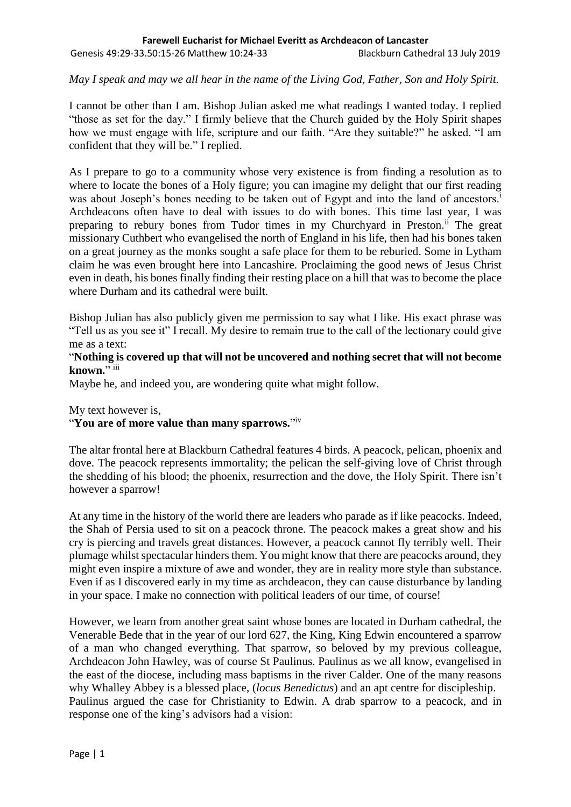*May I speak and may we all hear in the name of the Living God, Father, Son and Holy Spirit.*

I cannot be other than I am. Bishop Julian asked me what readings I wanted today. I replied "those as set for the day." I firmly believe that the Church guided by the Holy Spirit shapes how we must engage with life, scripture and our faith. "Are they suitable?" he asked. "I am confident that they will be." I replied.

As I prepare to go to a community whose very existence is from finding a resolution as to where to locate the bones of a Holy figure; you can imagine my delight that our first reading was about Joseph's bones needing to be taken out of Egypt and into the land of ancestors.<sup>i</sup> Archdeacons often have to deal with issues to do with bones. This time last year, I was preparing to rebury bones from Tudor times in my Churchyard in Preston.<sup>ii</sup> The great missionary Cuthbert who evangelised the north of England in his life, then had his bones taken on a great journey as the monks sought a safe place for them to be reburied. Some in Lytham claim he was even brought here into Lancashire. Proclaiming the good news of Jesus Christ even in death, his bones finally finding their resting place on a hill that was to become the place where Durham and its cathedral were built.

Bishop Julian has also publicly given me permission to say what I like. His exact phrase was "Tell us as you see it" I recall. My desire to remain true to the call of the lectionary could give me as a text:

## "**Nothing is covered up that will not be uncovered and nothing secret that will not become**  known."<sup>iii</sup>

Maybe he, and indeed you, are wondering quite what might follow.

My text however is,

## "**You are of more value than many sparrows.**" iv

The altar frontal here at Blackburn Cathedral features 4 birds. A peacock, pelican, phoenix and dove. The peacock represents immortality; the pelican the self-giving love of Christ through the shedding of his blood; the phoenix, resurrection and the dove, the Holy Spirit. There isn't however a sparrow!

At any time in the history of the world there are leaders who parade as if like peacocks. Indeed, the Shah of Persia used to sit on a peacock throne. The peacock makes a great show and his cry is piercing and travels great distances. However, a peacock cannot fly terribly well. Their plumage whilst spectacular hinders them. You might know that there are peacocks around, they might even inspire a mixture of awe and wonder, they are in reality more style than substance. Even if as I discovered early in my time as archdeacon, they can cause disturbance by landing in your space. I make no connection with political leaders of our time, of course!

However, we learn from another great saint whose bones are located in Durham cathedral, the Venerable Bede that in the year of our lord 627, the King, King Edwin encountered a sparrow of a man who changed everything. That sparrow, so beloved by my previous colleague, Archdeacon John Hawley, was of course St Paulinus. Paulinus as we all know, evangelised in the east of the diocese, including mass baptisms in the river Calder. One of the many reasons why Whalley Abbey is a blessed place, (*locus Benedictus*) and an apt centre for discipleship. Paulinus argued the case for Christianity to Edwin. A drab sparrow to a peacock, and in response one of the king's advisors had a vision: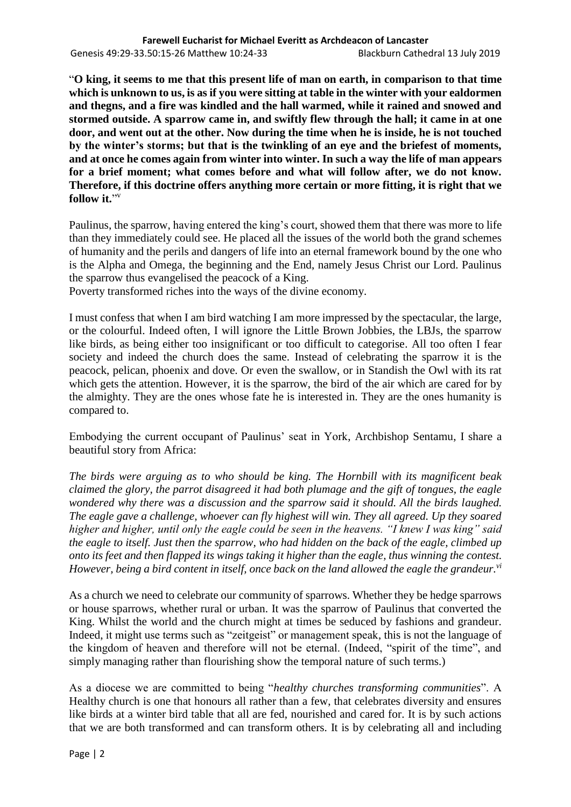"**O king, it seems to me that this present life of man on earth, in comparison to that time which is unknown to us, is as if you were sitting at table in the winter with your ealdormen and thegns, and a fire was kindled and the hall warmed, while it rained and snowed and stormed outside. A sparrow came in, and swiftly flew through the hall; it came in at one door, and went out at the other. Now during the time when he is inside, he is not touched by the winter's storms; but that is the twinkling of an eye and the briefest of moments, and at once he comes again from winter into winter. In such a way the life of man appears for a brief moment; what comes before and what will follow after, we do not know. Therefore, if this doctrine offers anything more certain or more fitting, it is right that we**  follow it."<sup>v</sup>

Paulinus, the sparrow, having entered the king's court, showed them that there was more to life than they immediately could see. He placed all the issues of the world both the grand schemes of humanity and the perils and dangers of life into an eternal framework bound by the one who is the Alpha and Omega, the beginning and the End, namely Jesus Christ our Lord. Paulinus the sparrow thus evangelised the peacock of a King.

Poverty transformed riches into the ways of the divine economy.

I must confess that when I am bird watching I am more impressed by the spectacular, the large, or the colourful. Indeed often, I will ignore the Little Brown Jobbies, the LBJs, the sparrow like birds, as being either too insignificant or too difficult to categorise. All too often I fear society and indeed the church does the same. Instead of celebrating the sparrow it is the peacock, pelican, phoenix and dove. Or even the swallow, or in Standish the Owl with its rat which gets the attention. However, it is the sparrow, the bird of the air which are cared for by the almighty. They are the ones whose fate he is interested in. They are the ones humanity is compared to.

Embodying the current occupant of Paulinus' seat in York, Archbishop Sentamu, I share a beautiful story from Africa:

*The birds were arguing as to who should be king. The Hornbill with its magnificent beak claimed the glory, the parrot disagreed it had both plumage and the gift of tongues, the eagle wondered why there was a discussion and the sparrow said it should. All the birds laughed. The eagle gave a challenge, whoever can fly highest will win. They all agreed. Up they soared higher and higher, until only the eagle could be seen in the heavens. "I knew I was king" said the eagle to itself. Just then the sparrow, who had hidden on the back of the eagle, climbed up onto its feet and then flapped its wings taking it higher than the eagle, thus winning the contest. However, being a bird content in itself, once back on the land allowed the eagle the grandeur.vi*

As a church we need to celebrate our community of sparrows. Whether they be hedge sparrows or house sparrows, whether rural or urban. It was the sparrow of Paulinus that converted the King. Whilst the world and the church might at times be seduced by fashions and grandeur. Indeed, it might use terms such as "zeitgeist" or management speak, this is not the language of the kingdom of heaven and therefore will not be eternal. (Indeed, "spirit of the time", and simply managing rather than flourishing show the temporal nature of such terms.)

As a diocese we are committed to being "*healthy churches transforming communities*". A Healthy church is one that honours all rather than a few, that celebrates diversity and ensures like birds at a winter bird table that all are fed, nourished and cared for. It is by such actions that we are both transformed and can transform others. It is by celebrating all and including